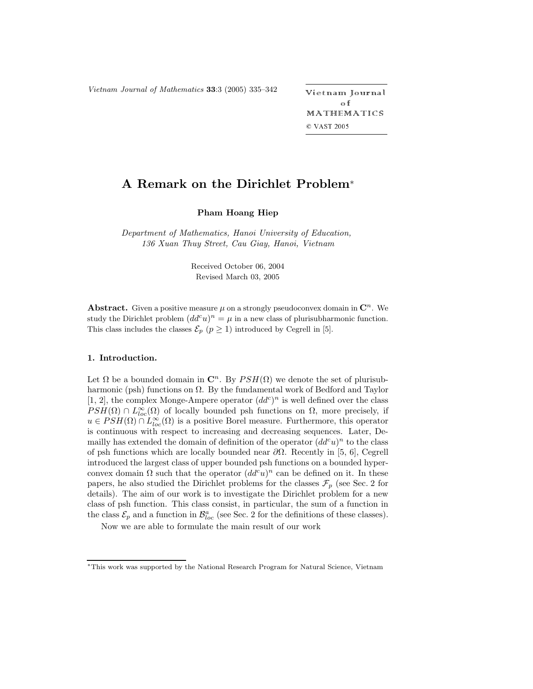*Vietnam Journal of Mathematics* **<sup>33</sup>**:3 (2005) 335–342 -

ietnam Journal o f MATHEMATICS © VAST 2005

# **A Remark on the Dirichlet Problem**\*

## **Pham Hoang Hiep**

*Department of Mathematics, Hanoi University of Education, 136 Xuan Thuy Street, Cau Giay, Hanoi, Vietnam*

> Received October 06, 2004 Revised March 03, 2005

**Abstract.** Given a positive measure  $\mu$  on a strongly pseudoconvex domain in  $\mathbb{C}^n$ . We study the Dirichlet problem  $(dd^c u)^n = \mu$  in a new class of plurisubharmonic function. This class includes the classes  $\mathcal{E}_p$  ( $p \geq 1$ ) introduced by Cegrell in [5].

### **1. Introduction.**

Let  $\Omega$  be a bounded domain in  $\mathbb{C}^n$ . By  $PSH(\Omega)$  we denote the set of plurisubharmonic (psh) functions on  $\Omega$ . By the fundamental work of Bedford and Taylor [1, 2], the complex Monge-Ampere operator  $(dd^c)^n$  is well defined over the class  $PSH(\Omega) \cap L^{\infty}_{loc}(\Omega)$  of locally bounded psh functions on  $\Omega$ , more precisely, if  $u \in PSH(\Omega) \cap L^{\infty}_{loc}(\Omega)$  is a positive Borel measure. Furthermore, this operator is continuous with respect to increasing and decreasing sequences. Later, Demailly has extended the domain of definition of the operator  $(dd^c u)^n$  to the class of psh functions which are locally bounded near  $\partial\Omega$ . Recently in [5, 6], Cegrell introduced the largest class of upper bounded psh functions on a bounded hyperconvex domain  $\Omega$  such that the operator  $(dd^c u)^n$  can be defined on it. In these papers, he also studied the Dirichlet problems for the classes  $\mathcal{F}_p$  (see Sec. 2 for details). The aim of our work is to investigate the Dirichlet problem for a new class of psh function. This class consist, in particular, the sum of a function in the class  $\mathcal{E}_p$  and a function in  $\mathcal{B}^a_{loc}$  (see Sec. 2 for the definitions of these classes).

Now we are able to formulate the main result of our work

<sup>∗</sup>This work was supported by the National Research Program for Natural Science, Vietnam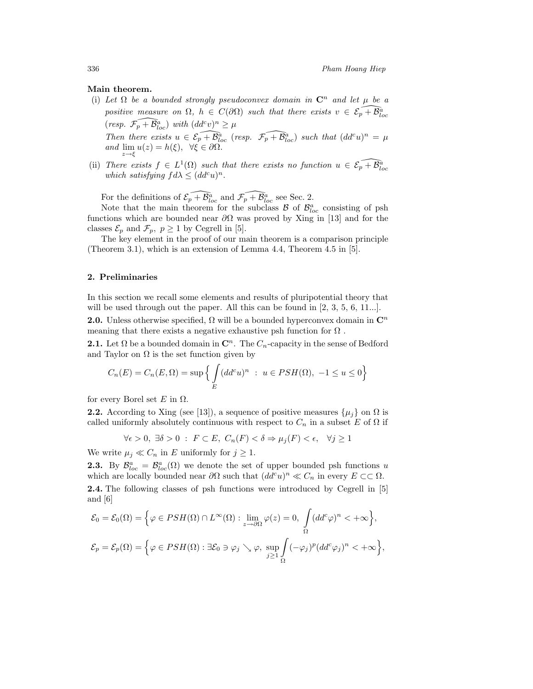#### **Main theorem.**

- (i) Let  $\Omega$  be a bounded strongly pseudoconvex domain in  $\mathbb{C}^n$  and let  $\mu$  be a positive measure on  $\Omega$ ,  $h \in C(\partial \Omega)$  such that there exists  $v \in \mathcal{E}_p + \mathcal{B}^a_{loc}$  $(resp. \ \widetilde{\mathcal{F}_p} + \widetilde{\mathcal{B}}_{loc}^a) \ \ with \ (dd^c v)^n \geq \mu$ *Then there exists*  $u \in \mathcal{E}_p + \overline{\mathcal{B}}_{loc}^a$  (*resp.*  $\mathcal{F}_p + \overline{\mathcal{B}}_{loc}^a$ ) such that  $(dd^c u)^n = \mu$ *and*  $\lim_{z \to \xi} u(z) = h(\xi)$ ,  $\forall \xi \in \partial \Omega$ .<br>*and*  $\lim_{z \to \xi} u(z) = h(\xi)$ ,  $\forall \xi \in \partial \Omega$ .
- (ii) *There exists*  $f \in L^1(\Omega)$  *such that there exists no function*  $u \in \mathcal{E}_p + \mathcal{B}_{loc}^a$  which satisfying  $d\lambda < (dd^c u)^n$ . *which satisfying*  $fd\lambda \leq (dd^c u)^n$ .

For the definitions of  $\mathcal{E}_{p} + \mathcal{B}_{loc}^{a}$  and  $\mathcal{F}_{p} + \mathcal{B}_{loc}^{a}$  see Sec. 2.

Note that the main theorem for the subclass  $\mathcal{B}$  of  $\mathcal{B}^a_{loc}$  consisting of psh functions which are bounded near  $\partial\Omega$  was proved by Xing in [13] and for the classes  $\mathcal{E}_p$  and  $\mathcal{F}_p$ ,  $p \ge 1$  by Cegrell in [5].

The key element in the proof of our main theorem is a comparison principle (Theorem 3.1), which is an extension of Lemma 4.4, Theorem 4.5 in [5].

#### **2. Preliminaries**

In this section we recall some elements and results of pluripotential theory that will be used through out the paper. All this can be found in [2, 3, 5, 6, 11...].

**2.0.** Unless otherwise specified,  $\Omega$  will be a bounded hyperconvex domain in  $\mathbb{C}^n$ meaning that there exists a negative exhaustive psh function for  $\Omega$ .

**2.1.** Let  $\Omega$  be a bounded domain in  $\mathbb{C}^n$ . The  $C_n$ -capacity in the sense of Bedford and Taylor on  $\Omega$  is the set function given by

$$
C_n(E) = C_n(E, \Omega) = \sup \left\{ \int_E (dd^c u)^n : u \in PSH(\Omega), -1 \le u \le 0 \right\}
$$

for every Borel set E in  $\Omega$ .

**2.2.** According to Xing (see [13]), a sequence of positive measures  $\{\mu_i\}$  on  $\Omega$  is called uniformly absolutely continuous with respect to  $C_n$  in a subset E of  $\Omega$  if

$$
\forall \epsilon > 0, \ \exists \delta > 0 \ : \ F \subset E, \ C_n(F) < \delta \Rightarrow \mu_j(F) < \epsilon, \ \ \forall j \ge 1
$$

We write  $\mu_j \ll C_n$  in E uniformly for  $j \geq 1$ .

**2.3.** By  $\mathcal{B}^a_{loc} = \mathcal{B}^a_{loc}(\Omega)$  we denote the set of upper bounded psh functions u which are locally bounded near  $\partial\Omega$  such that  $(dd^c u)^n \ll C_n$  in every  $E \subset\subset \Omega$ . **2.4.** The following classes of psh functions were introduced by Cegrell in [5] and [6]

$$
\mathcal{E}_0 = \mathcal{E}_0(\Omega) = \Big\{ \varphi \in PSH(\Omega) \cap L^{\infty}(\Omega) : \lim_{z \to \partial \Omega} \varphi(z) = 0, \int_{\Omega} (dd^c \varphi)^n < +\infty \Big\},\
$$
  

$$
\mathcal{E}_p = \mathcal{E}_p(\Omega) = \Big\{ \varphi \in PSH(\Omega) : \exists \mathcal{E}_0 \ni \varphi_j \searrow \varphi, \sup_{j \ge 1} \int_{\Omega} (-\varphi_j)^p (dd^c \varphi_j)^n < +\infty \Big\},\
$$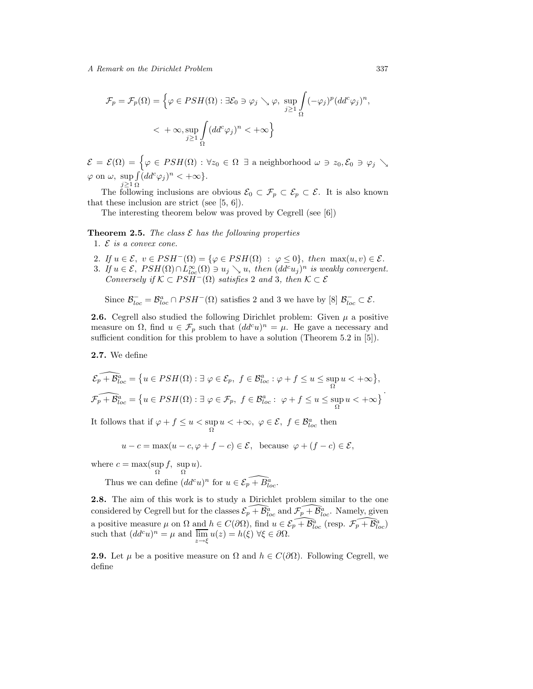$$
\mathcal{F}_p = \mathcal{F}_p(\Omega) = \left\{ \varphi \in PSH(\Omega) : \exists \mathcal{E}_0 \ni \varphi_j \searrow \varphi, \sup_{j \ge 1} \int_{\Omega} (-\varphi_j)^p (dd^c \varphi_j)^n, \right\}
$$
  

$$
< + \infty, \sup_{j \ge 1} \int_{\Omega} (dd^c \varphi_j)^n < + \infty \right\}
$$

E = E(Ω) = - ϕ ∈ PSH(Ω) : ∀z<sup>0</sup> ∈ Ω ∃ a neighborhood ω  z0, E<sup>0</sup>  ϕ<sup>j</sup>  $\varphi$  on  $\omega$ , sup<br> $j \geq 1$  $\sqrt{ }$ Ω  $(dd^c\varphi_j)^n<+\infty$ .

The following inclusions are obvious  $\mathcal{E}_0 \subset \mathcal{F}_p \subset \mathcal{E}_p \subset \mathcal{E}$ . It is also known that these inclusion are strict (see [5, 6]).

The interesting theorem below was proved by Cegrell (see [6])

**Theorem 2.5.** *The class*  $\mathcal{E}$  *has the following properties* 

- 1. E *is a convex cone.*
- 2. If  $u \in \mathcal{E}$ ,  $v \in PSH^{-}(\Omega) = {\varphi \in PSH(\Omega) : \varphi \leq 0},$  then  $\max(u, v) \in \mathcal{E}$ . 3. If  $u \in \mathcal{E}$ ,  $PSH(\Omega) \cap L^{\infty}_{loc}(\Omega) \ni u_j \searrow u$ , then  $(dd^c u_j)^n$  is weakly convergent. *Conversely if*  $K \subset PSH^{-}(\Omega)$  *satisfies* 2 *and* 3*, then*  $K \subset \mathcal{E}$

Since  $\mathcal{B}_{loc}^- = \mathcal{B}_{loc}^a \cap PSH^-(\Omega)$  satisfies 2 and 3 we have by [8]  $\mathcal{B}_{loc}^- \subset \mathcal{E}$ .

**2.6.** Cegrell also studied the following Dirichlet problem: Given  $\mu$  a positive measure on  $\Omega$ , find  $u \in \mathcal{F}_p$  such that  $(dd^c u)^n = \mu$ . He gave a necessary and sufficient condition for this problem to have a solution (Theorem 5.2 in [5]).

**2.7.** We define

$$
\widehat{\mathcal{E}_p + \mathcal{B}_{loc}^a} = \{ u \in PSH(\Omega) : \exists \ \varphi \in \mathcal{E}_p, \ f \in \mathcal{B}_{loc}^a : \varphi + f \le u \le \sup_{\Omega} u < +\infty \},\
$$

$$
\widehat{\mathcal{F}_p + \mathcal{B}_{loc}^a} = \{ u \in PSH(\Omega) : \exists \ \varphi \in \mathcal{F}_p, \ f \in \mathcal{B}_{loc}^a : \ \varphi + f \le u \le \sup_{\Omega} u < +\infty \}.
$$

It follows that if  $\varphi + f \leq u < \sup_{\Omega} u < +\infty$ ,  $\varphi \in \mathcal{E}$ ,  $f \in \mathcal{B}_{loc}^a$  then

$$
u - c = \max(u - c, \varphi + f - c) \in \mathcal{E}, \text{ because } \varphi + (f - c) \in \mathcal{E},
$$

where  $c = \max(\sup_{\Omega} f, \sup_{\Omega} u).$ 

Thus we can define  $(dd^c u)^n$  for  $u \in \mathcal{E}_p + \overline{B}_{loc}^a$ .

**2.8.** The aim of this work is to study a Dirichlet problem similar to the one considered by Cegrell but for the classes  $\mathcal{E}_p + \mathcal{B}_{loc}^{\hat{a}}$  and  $\mathcal{F}_p + \mathcal{B}_{loc}^{\hat{a}}$ . Namely, given a positive measure  $\mu$  on  $\Omega$  and  $h \in C(\partial\Omega)$ , find  $u \in \mathcal{E}_p + \mathcal{B}_{loc}^a$  (resp.  $\mathcal{F}_p + \mathcal{B}_{loc}^a$ ) such that  $(dd^c u)^n = \mu$  and  $\overline{\lim}_{z \to \xi} u(z) = h(\xi) \,\forall \xi \in \partial \Omega$ .

**2.9.** Let  $\mu$  be a positive measure on  $\Omega$  and  $h \in C(\partial\Omega)$ . Following Cegrell, we define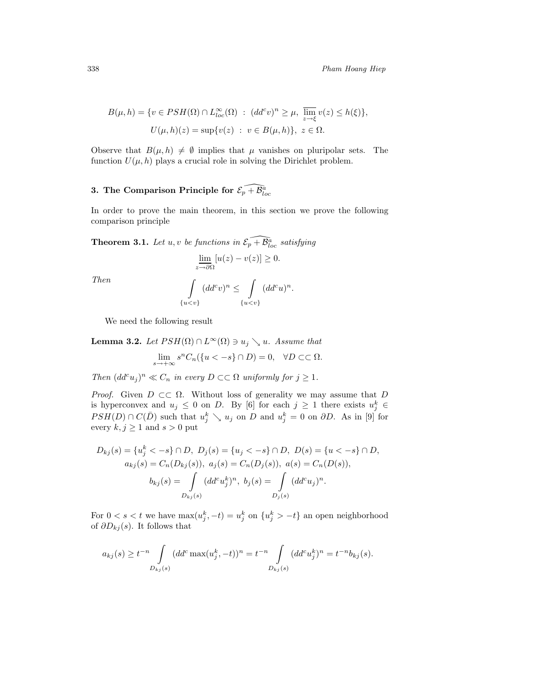$$
B(\mu, h) = \{ v \in PSH(\Omega) \cap L_{loc}^{\infty}(\Omega) : (dd^c v)^n \ge \mu, \overline{\lim}_{z \to \xi} v(z) \le h(\xi) \},
$$
  

$$
U(\mu, h)(z) = \sup \{ v(z) : v \in B(\mu, h) \}, z \in \Omega.
$$

Observe that  $B(\mu, h) \neq \emptyset$  implies that  $\mu$  vanishes on pluripolar sets. The function  $U(\mu, h)$  plays a crucial role in solving the Dirichlet problem.

## **3.** The Comparison Principle for  $\widehat{\mathcal{E}_p + \mathcal{B}^a_{loc}}$

In order to prove the main theorem, in this section we prove the following comparison principle

**Theorem 3.1.** Let  $u, v$  be functions in  $\mathcal{E}_{p}^{\top} + \mathcal{B}_{loc}^{\hat{a}}$  satisfying

$$
\underline{\lim_{z \to \partial \Omega}} [u(z) - v(z)] \ge 0.
$$

*Then*

$$
\int_{\{u
$$

We need the following result

**Lemma 3.2.** Let 
$$
PSH(\Omega) \cap L^{\infty}(\Omega) \ni u_j \setminus u
$$
. Assume that  $\lim_{s \to +\infty} s^n C_n(\{u < -s\} \cap D) = 0, \quad \forall D \subset\subset \Omega.$ 

*Then*  $(dd^c u_j)^n \ll C_n$  *in every*  $D \subset\subset \Omega$  *uniformly for*  $j \geq 1$ *.* 

*Proof.* Given  $D \subset\subset \Omega$ . Without loss of generality we may assume that D is hyperconvex and  $u_j \leq 0$  on D. By [6] for each  $j \geq 1$  there exists  $u_j^k \in$  $PSH(D) \cap C(\bar{D})$  such that  $u_j^k \searrow u_j$  on D and  $u_j^k = 0$  on  $\partial D$ . As in [9] for every  $k, j \geq 1$  and  $s > 0$  put

$$
D_{kj}(s) = \{u_j^k < -s\} \cap D, \ D_j(s) = \{u_j < -s\} \cap D, \ D(s) = \{u < -s\} \cap D,
$$
  
\n
$$
a_{kj}(s) = C_n(D_{kj}(s)), \ a_j(s) = C_n(D_j(s)), \ a(s) = C_n(D(s)),
$$
  
\n
$$
b_{kj}(s) = \int_{D_{kj}(s)} (dd^c u_j^k)^n, \ b_j(s) = \int_{D_j(s)} (dd^c u_j)^n.
$$

For  $0 < s < t$  we have  $\max(u_j^k, -t) = u_j^k$  on  $\{u_j^k > -t\}$  an open neighborhood of  $\partial D_{kj}(s)$ . It follows that

$$
a_{kj}(s) \ge t^{-n} \int\limits_{D_{kj}(s)} (dd^c \max(u_j^k, -t))^n = t^{-n} \int\limits_{D_{kj}(s)} (dd^c u_j^k)^n = t^{-n} b_{kj}(s).
$$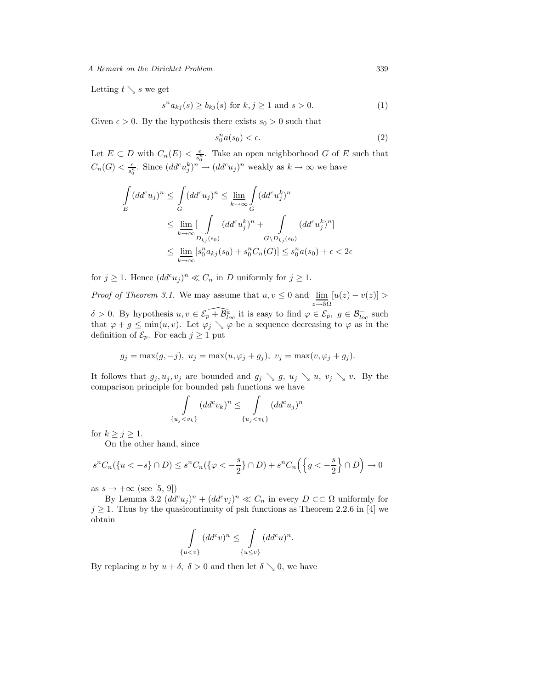Letting  $t \searrow s$  we get

$$
s^n a_{kj}(s) \ge b_{kj}(s) \text{ for } k, j \ge 1 \text{ and } s > 0. \tag{1}
$$

Given  $\epsilon > 0$ . By the hypothesis there exists  $s_0 > 0$  such that

$$
s_0^n a(s_0) < \epsilon. \tag{2}
$$

Let  $E \subset D$  with  $C_n(E) < \frac{\epsilon}{s_0^n}$ . Take an open neighborhood G of E such that  $C_n(G) < \frac{\epsilon}{s_0^n}$ . Since  $(dd^c u_j^k)^n \to (dd^c u_j)^n$  weakly as  $k \to \infty$  we have

$$
\int_{E} (dd^{c} u_{j})^{n} \leq \int_{G} (dd^{c} u_{j})^{n} \leq \lim_{k \to \infty} \int_{G} (dd^{c} u_{j}^{k})^{n}
$$
\n
$$
\leq \lim_{k \to \infty} \left[ \int_{D_{kj}(s_{0})} (dd^{c} u_{j}^{k})^{n} + \int_{G \setminus D_{kj}(s_{0})} (dd^{c} u_{j}^{k})^{n} \right]
$$
\n
$$
\leq \lim_{k \to \infty} \left[ s_{0}^{n} a_{kj}(s_{0}) + s_{0}^{n} C_{n}(G) \right] \leq s_{0}^{n} a(s_{0}) + \epsilon < 2\epsilon
$$

for  $j \geq 1$ . Hence  $(dd^c u_j)^n \ll C_n$  in D uniformly for  $j \geq 1$ .

*Proof of Theorem 3.1.* We may assume that  $u, v \leq 0$  and  $\lim_{h \to 0}$ z→∂Ω v assume that  $u, v \leq 0$  and  $\lim_{x \to v} [u(z) - v(z)] >$  $\delta > 0$ . By hypothesis  $u, v \in \widehat{\mathcal{E}_p + \mathcal{B}_{loc}^a}$  it is easy to find  $\varphi \in \mathcal{E}_p$ ,  $g \in \mathcal{B}_{loc}^-$  such that  $\varphi + g \le \min(u, v)$ . Let  $\varphi_j \searrow \varphi$  be a sequence decreasing to  $\varphi$  as in the definition of  $\mathcal{E}_p$ . For each  $j \geq 1$  put

$$
g_j = \max(g, -j), u_j = \max(u, \varphi_j + g_j), v_j = \max(v, \varphi_j + g_j).
$$

It follows that  $g_j, u_j, v_j$  are bounded and  $g_j \searrow g, u_j \searrow u, v_j \searrow v$ . By the comparison principle for bounded psh functions we have

$$
\int_{\{u_j < v_k\}} (dd^c v_k)^n \le \int_{\{u_j < v_k\}} (dd^c u_j)^n
$$

for  $k \geq j \geq 1$ .

On the other hand, since

$$
s^n C_n(\{u < -s\} \cap D) \le s^n C_n(\{\varphi < -\frac{s}{2}\} \cap D) + s^n C_n\left(\left\{g < -\frac{s}{2}\right\} \cap D\right) \to 0
$$

as  $s \to +\infty$  (see [5, 9])

By Lemma 3.2  $(dd^c u_j)^n + (dd^c v_j)^n \ll C_n$  in every  $D \subset\subset \Omega$  uniformly for  $j \geq 1$ . Thus by the quasicontinuity of psh functions as Theorem 2.2.6 in [4] we obtain

$$
\int_{\{u
$$

By replacing u by  $u + \delta$ ,  $\delta > 0$  and then let  $\delta \searrow 0$ , we have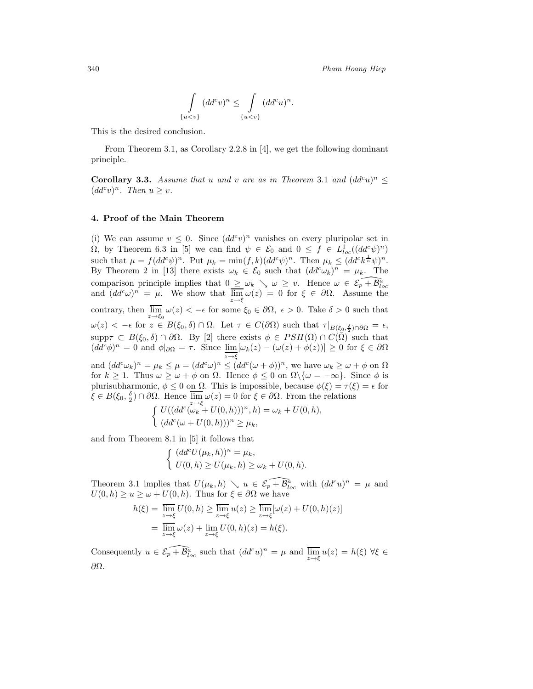$$
\int_{\{u
$$

This is the desired conclusion.

From Theorem 3.1, as Corollary 2.2.8 in [4], we get the following dominant principle.

**Corollary 3.3.** *Assume that* u and v are as in Theorem 3.1 and  $(dd^c u)^n \leq$  $(dd^c v)^n$ *. Then*  $u \geq v$ *.* 

#### **4. Proof of the Main Theorem**

(i) We can assume  $v \leq 0$ . Since  $(dd^c v)^n$  vanishes on every pluripolar set in  $\Omega$ , by Theorem 6.3 in [5] we can find  $\psi \in \mathcal{E}_0$  and  $0 \leq f \in L^1_{loc}((dd^c \psi)^n)$ such that  $\mu = f(dd^c\psi)^n$ . Put  $\mu_k = \min(f, k)(dd^c\psi)^n$ . Then  $\mu_k \leq (dd^c k^{\frac{1}{n}}\psi)^n$ . By Theorem 2 in [13] there exists  $\omega_k \in \mathcal{E}_0$  such that  $(dd^c\omega_k)^n = \mu_k$ . The comparison principle implies that  $0 \leq \omega_k \leq \omega \geq v$ . Hence  $\omega \in \mathcal{E}_p + \mathcal{B}_{loc}^{\tilde{a}}$ <br>and  $(dd^c\omega)^n = \mu$ . We show that  $\lim_{z \to \xi} \omega(z) = 0$  for  $\xi \in \partial\Omega$ . Assume the contrary, then  $\lim_{z \to \xi_0} \omega(z) < -\epsilon$  for some  $\xi_0 \in \partial\Omega$ ,  $\epsilon > 0$ . Take  $\delta > 0$  such that  $\omega(z) < -\epsilon$  for  $z \in B(\xi_0, \delta) \cap \Omega$ . Let  $\tau \in C(\partial \Omega)$  such that  $\tau|_{B(\xi_0, \frac{\delta}{2}) \cap \partial \Omega} = \epsilon$ , supp $\tau \subset B(\xi_0, \delta) \cap \partial \Omega$ . By [2] there exists  $\phi \in PSH(\Omega) \cap C(\overline{\Omega})$  such that  $(dd^c\phi)^n = 0$  and  $\phi|_{\partial\Omega} = \tau$ . Since  $\lim_{z \to \xi} [\omega_k(z) - (\omega(z) + \phi(z))] \ge 0$  for  $\xi \in \partial\Omega$ and  $(dd^c\omega_k)^n = \mu_k \leq \mu = (dd^c\omega)^n \leq (dd^c(\omega + \phi))^n$ , we have  $\omega_k \geq \omega + \phi$  on  $\Omega$ for  $k \ge 1$ . Thus  $\omega \ge \omega + \phi$  on  $\Omega$ . Hence  $\phi \le 0$  on  $\Omega \setminus {\omega = -\infty}$ . Since  $\phi$  is plurisubharmonic,  $\phi \leq 0$  on  $\Omega$ . This is impossible, because  $\phi(\xi) = \tau(\xi) = \epsilon$  for  $\xi \in B(\xi_0, \frac{\delta}{2}) \cap \partial \Omega$ . Hence  $\overline{\lim}_{z \to \xi} \omega(z) = 0$  for  $\xi \in \partial \Omega$ . From the relations  $\int U((dd^c(\omega_k + U(0,h)))^n, h) = \omega_k + U(0,h),$ 

$$
\Big( \ (dd^c(\omega + U(0,h)))^n \ge \mu_k,
$$

and from Theorem 8.1 in [5] it follows that

$$
\begin{cases} (dd^c U(\mu_k, h))^n = \mu_k, \\ U(0, h) \ge U(\mu_k, h) \ge \omega_k + U(0, h). \end{cases}
$$

Theorem 3.1 implies that  $U(\mu_k, h) \searrow u \in \mathcal{E}_p + \mathcal{B}_{loc}^a$  with  $(dd^c u)^n = \mu$  and  $U(0, h) \ge u \ge \omega + U(0, h)$ . Thus for  $\xi \in \partial \Omega$  we have

$$
h(\xi) = \overline{\lim}_{z \to \xi} U(0, h) \ge \overline{\lim}_{z \to \xi} u(z) \ge \overline{\lim}_{z \to \xi} [\omega(z) + U(0, h)(z)]
$$
  
= 
$$
\overline{\lim}_{z \to \xi} \omega(z) + \lim_{z \to \xi} U(0, h)(z) = h(\xi).
$$

Consequently  $u \in \mathcal{E}_p + \overline{\mathcal{B}}_{loc}^a$  such that  $(dd^c u)^n = \mu$  and  $\overline{\lim}_{z \to \xi} u(z) = h(\xi) \,\forall \xi \in$ ∂Ω.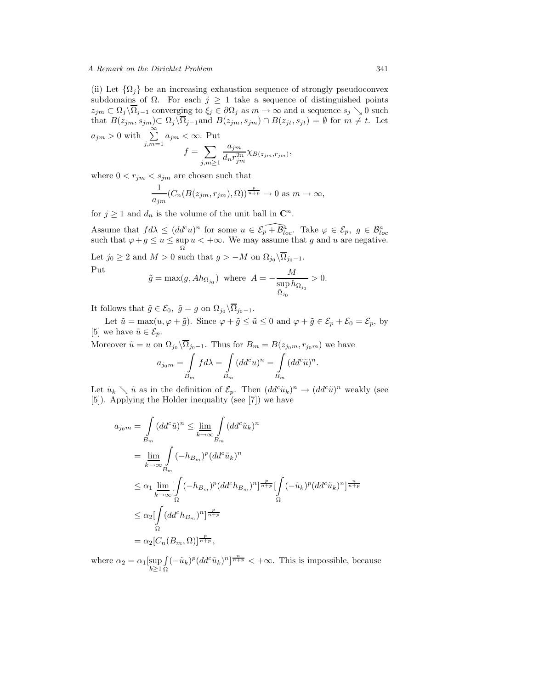#### *A Remark on the Dirichlet Problem* 341

(ii) Let  $\{\Omega_i\}$  be an increasing exhaustion sequence of strongly pseudoconvex subdomains of  $\Omega$ . For each  $j \geq 1$  take a sequence of distinguished points  $z_{jm} \n\subset \Omega_j \setminus \overline{\Omega}_{j-1}$  converging to  $\xi_j \in \partial \Omega_j$  as  $m \to \infty$  and a sequence  $s_j \searrow 0$  such that  $B(z_{jm}, s_{jm}) \subset \Omega_j \backslash \overline{\Omega_{j-1}}$  and  $B(z_{jm}, s_{jm}) \cap B(z_{jt}, s_{jt}) = \emptyset$  for  $m \neq t$ . Let  $a_{jm} > 0$  with  $\sum_{m=1}^{\infty}$  $\sum_{j,m=1} a_{jm} < \infty$ . Put

$$
f = \sum_{j,m \geq 1} \frac{a_{jm}}{d_n r_{jm}^{2n}} \chi_{B(z_{jm}, r_{jm})},
$$

where  $0 < r_{jm} < s_{jm}$  are chosen such that

$$
\frac{1}{a_{jm}}(C_n(B(z_{jm}, r_{jm}), \Omega))^{\frac{p}{n+p}} \to 0 \text{ as } m \to \infty,
$$

for  $j \geq 1$  and  $d_n$  is the volume of the unit ball in  $\mathbb{C}^n$ .

Assume that  $fd\lambda \leq (dd^c u)^n$  for some  $u \in \mathcal{E}_p + \mathcal{B}_{loc}^a$ . Take  $\varphi \in \mathcal{E}_p$ ,  $g \in \mathcal{B}_{loc}^a$ <br>such that  $\varphi + g \leq u \leq \sup_{\Omega} u < +\infty$ . We may assume that g and u are negative.

Let  $j_0 \geq 2$  and  $M > 0$  such that  $g > -M$  on  $\Omega_{j_0} \setminus \overline{\Omega}_{j_0-1}$ . Put

$$
\tilde{g} = \max(g, Ah_{\Omega_{j_0}}) \text{ where } A = -\frac{M}{\sup_{\bar{\Omega}_{j_0}} h_{\Omega_{j_0}}} > 0.
$$

It follows that  $\tilde{g} \in \mathcal{E}_0, \ \tilde{g} = g$  on  $\Omega_{j_0} \backslash \overline{\Omega}_{j_0-1}.$ 

Let  $\tilde{u} = \max(u, \varphi + \tilde{g})$ . Since  $\varphi + \tilde{g} \leq \tilde{u} \leq 0$  and  $\varphi + \tilde{g} \in \mathcal{E}_p + \mathcal{E}_0 = \mathcal{E}_p$ , by [5] we have  $\tilde{u} \in \mathcal{E}_p$ .

Moreover  $\tilde{u} = u$  on  $\Omega_{i0} \backslash \overline{\Omega}_{i0-1}$ . Thus for  $B_m = B(z_{i0m}, r_{i0m})$  we have

$$
a_{j_0m} = \int\limits_{B_m} f d\lambda = \int\limits_{B_m} (dd^c u)^n = \int\limits_{B_m} (dd^c \tilde{u})^n.
$$

Let  $\tilde{u}_k \searrow \tilde{u}$  as in the definition of  $\mathcal{E}_p$ . Then  $(dd^c\tilde{u}_k)^n \to (dd^c\tilde{u})^n$  weakly (see [5]). Applying the Holder inequality (see [7]) we have

$$
a_{j_0m} = \int_{B_m} (dd^c \tilde{u})^n \le \lim_{k \to \infty} \int_{B_m} (dd^c \tilde{u}_k)^n
$$
  
\n
$$
= \lim_{k \to \infty} \int_{B_m} (-h_{B_m})^p (dd^c \tilde{u}_k)^n
$$
  
\n
$$
\le \alpha_1 \lim_{k \to \infty} \left[ \int_{\Omega} (-h_{B_m})^p (dd^c h_{B_m})^n \right]^{\frac{p}{n+p}} \left[ \int_{\Omega} (-\tilde{u}_k)^p (dd^c \tilde{u}_k)^n \right]^{\frac{n}{n+p}}
$$
  
\n
$$
\le \alpha_2 \left[ \int_{\Omega} (dd^c h_{B_m})^n \right]^{\frac{p}{n+p}}
$$
  
\n
$$
= \alpha_2 [C_n (B_m, \Omega)]^{\frac{p}{n+p}},
$$

where  $\alpha_2 = \alpha_1 [\sup_{k \geq 1}]$  $\sqrt{ }$ Ω  $(-\tilde{u}_k)^p (dd^c \tilde{u}_k)^n \overline{\vert^{n+p}_{n+p}} < +\infty$ . This is impossible, because